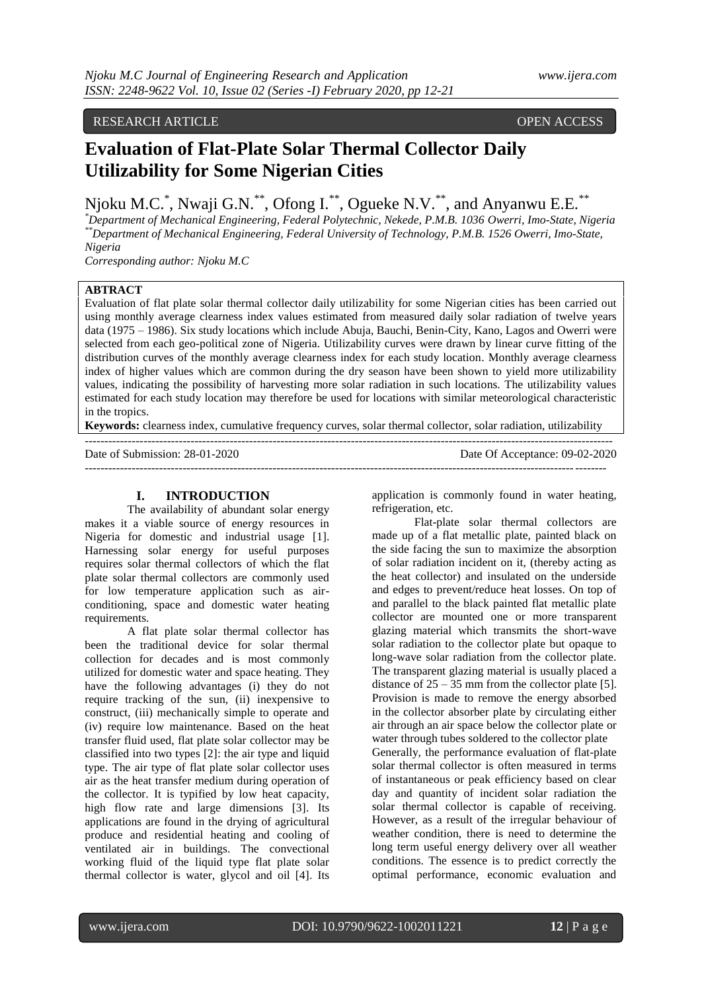# RESEARCH ARTICLE **CONSERVERS** OPEN ACCESS

# **Evaluation of Flat-Plate Solar Thermal Collector Daily Utilizability for Some Nigerian Cities**

Njoku M.C.<sup>\*</sup>, Nwaji G.N.<sup>\*\*</sup>, Ofong I.<sup>\*\*</sup>, Ogueke N.V.<sup>\*\*</sup>, and Anyanwu E.E.<sup>\*\*</sup>

*\*Department of Mechanical Engineering, Federal Polytechnic, Nekede, P.M.B. 1036 Owerri, Imo-State, Nigeria \*\*Department of Mechanical Engineering, Federal University of Technology, P.M.B. 1526 Owerri, Imo-State, Nigeria*

*Corresponding author: Njoku M.C*

## **ABTRACT**

Evaluation of flat plate solar thermal collector daily utilizability for some Nigerian cities has been carried out using monthly average clearness index values estimated from measured daily solar radiation of twelve years data (1975 – 1986). Six study locations which include Abuja, Bauchi, Benin-City, Kano, Lagos and Owerri were selected from each geo-political zone of Nigeria. Utilizability curves were drawn by linear curve fitting of the distribution curves of the monthly average clearness index for each study location. Monthly average clearness index of higher values which are common during the dry season have been shown to yield more utilizability values, indicating the possibility of harvesting more solar radiation in such locations. The utilizability values estimated for each study location may therefore be used for locations with similar meteorological characteristic in the tropics.

**Keywords:** clearness index, cumulative frequency curves, solar thermal collector, solar radiation, utilizability

--------------------------------------------------------------------------------------------------------------------------------------- Date of Submission: 28-01-2020 Date Of Acceptance: 09-02-2020 -------------------------------------------------------------------------------------------------------------------------------------

#### **I. INTRODUCTION**

The availability of abundant solar energy makes it a viable source of energy resources in Nigeria for domestic and industrial usage [1]. Harnessing solar energy for useful purposes requires solar thermal collectors of which the flat plate solar thermal collectors are commonly used for low temperature application such as airconditioning, space and domestic water heating requirements.

A flat plate solar thermal collector has been the traditional device for solar thermal collection for decades and is most commonly utilized for domestic water and space heating. They have the following advantages (i) they do not require tracking of the sun, (ii) inexpensive to construct, (iii) mechanically simple to operate and (iv) require low maintenance. Based on the heat transfer fluid used, flat plate solar collector may be classified into two types [2]: the air type and liquid type. The air type of flat plate solar collector uses air as the heat transfer medium during operation of the collector. It is typified by low heat capacity, high flow rate and large dimensions [3]. Its applications are found in the drying of agricultural produce and residential heating and cooling of ventilated air in buildings. The convectional working fluid of the liquid type flat plate solar thermal collector is water, glycol and oil [4]. Its

application is commonly found in water heating, refrigeration, etc.

Flat-plate solar thermal collectors are made up of a flat metallic plate, painted black on the side facing the sun to maximize the absorption of solar radiation incident on it, (thereby acting as the heat collector) and insulated on the underside and edges to prevent/reduce heat losses. On top of and parallel to the black painted flat metallic plate collector are mounted one or more transparent glazing material which transmits the short-wave solar radiation to the collector plate but opaque to long-wave solar radiation from the collector plate. The transparent glazing material is usually placed a distance of  $25 - 35$  mm from the collector plate [5]. Provision is made to remove the energy absorbed in the collector absorber plate by circulating either air through an air space below the collector plate or water through tubes soldered to the collector plate Generally, the performance evaluation of flat-plate solar thermal collector is often measured in terms of instantaneous or peak efficiency based on clear day and quantity of incident solar radiation the solar thermal collector is capable of receiving. However, as a result of the irregular behaviour of weather condition, there is need to determine the long term useful energy delivery over all weather conditions. The essence is to predict correctly the optimal performance, economic evaluation and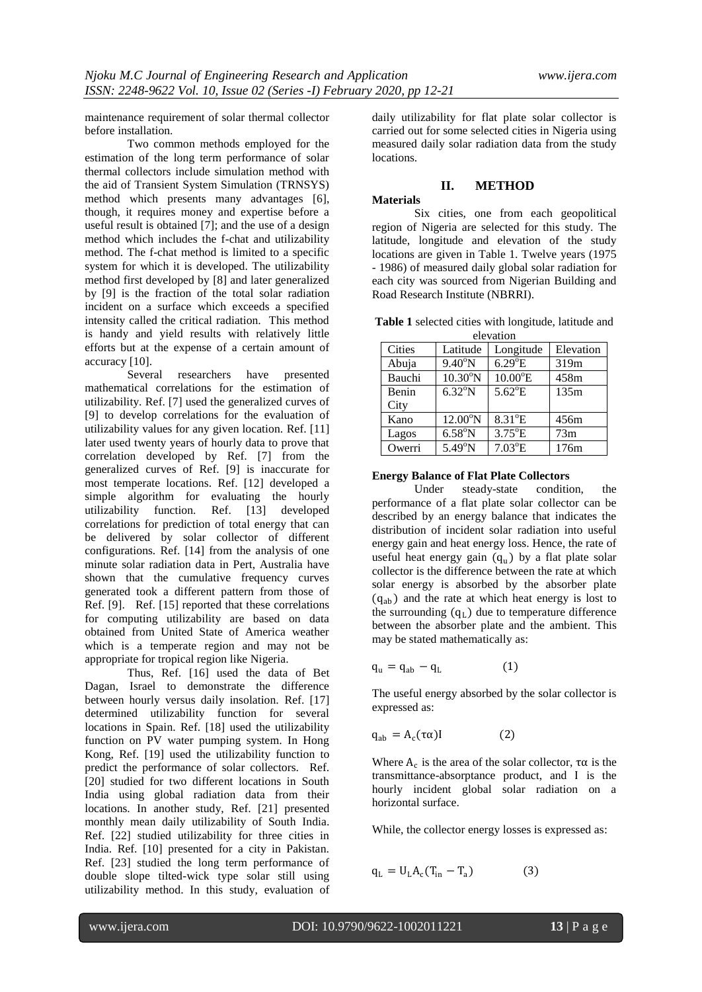maintenance requirement of solar thermal collector before installation.

Two common methods employed for the estimation of the long term performance of solar thermal collectors include simulation method with the aid of Transient System Simulation (TRNSYS) method which presents many advantages [6], though, it requires money and expertise before a useful result is obtained [7]; and the use of a design method which includes the f-chat and utilizability method. The f-chat method is limited to a specific system for which it is developed. The utilizability method first developed by [8] and later generalized by [9] is the fraction of the total solar radiation incident on a surface which exceeds a specified intensity called the critical radiation. This method is handy and yield results with relatively little efforts but at the expense of a certain amount of accuracy [10].

Several researchers have presented mathematical correlations for the estimation of utilizability. Ref. [7] used the generalized curves of [9] to develop correlations for the evaluation of utilizability values for any given location. Ref. [11] later used twenty years of hourly data to prove that correlation developed by Ref. [7] from the generalized curves of Ref. [9] is inaccurate for most temperate locations. Ref. [12] developed a simple algorithm for evaluating the hourly utilizability function. Ref. [13] developed correlations for prediction of total energy that can be delivered by solar collector of different configurations. Ref. [14] from the analysis of one minute solar radiation data in Pert, Australia have shown that the cumulative frequency curves generated took a different pattern from those of Ref. [9]. Ref. [15] reported that these correlations for computing utilizability are based on data obtained from United State of America weather which is a temperate region and may not be appropriate for tropical region like Nigeria.

Thus, Ref. [16] used the data of Bet Dagan, Israel to demonstrate the difference between hourly versus daily insolation. Ref. [17] determined utilizability function for several locations in Spain. Ref. [18] used the utilizability function on PV water pumping system. In Hong Kong, Ref. [19] used the utilizability function to predict the performance of solar collectors. Ref. [20] studied for two different locations in South India using global radiation data from their locations. In another study, Ref. [21] presented monthly mean daily utilizability of South India. Ref. [22] studied utilizability for three cities in India. Ref. [10] presented for a city in Pakistan. Ref. [23] studied the long term performance of double slope tilted-wick type solar still using utilizability method. In this study, evaluation of daily utilizability for flat plate solar collector is carried out for some selected cities in Nigeria using measured daily solar radiation data from the study locations.

# **II. METHOD**

#### **Materials**

Six cities, one from each geopolitical region of Nigeria are selected for this study. The latitude, longitude and elevation of the study locations are given in Table 1. Twelve years (1975 - 1986) of measured daily global solar radiation for each city was sourced from Nigerian Building and Road Research Institute (NBRRI).

**Table 1** selected cities with longitude, latitude and elevation

| Cities<br>Latitude |                   | Longitude         | Elevation |  |  |  |  |
|--------------------|-------------------|-------------------|-----------|--|--|--|--|
| Abuja              | $9.40^{\circ}$ N  | $6.29^{\circ}E$   | 319m      |  |  |  |  |
| Bauchi             | $10.30^{\circ}$ N | $10.00^{\circ}$ E | 458m      |  |  |  |  |
| Benin              | $6.32^{\circ}N$   | $5.62^{\circ}E$   | 135m      |  |  |  |  |
| City               |                   |                   |           |  |  |  |  |
| Kano               | $12.00^{\circ}$ N | $8.31^{\circ}E$   | 456m      |  |  |  |  |
| Lagos              | $6.58^{\circ}$ N  | $3.75^{\circ}E$   | 73m       |  |  |  |  |
| Owerri             | $5.49^{\circ}$ N  | $7.03^{\circ}E$   | 176m      |  |  |  |  |

#### **Energy Balance of Flat Plate Collectors**

Under steady-state condition, the performance of a flat plate solar collector can be described by an energy balance that indicates the distribution of incident solar radiation into useful energy gain and heat energy loss. Hence, the rate of useful heat energy gain  $(q_u)$  by a flat plate solar collector is the difference between the rate at which solar energy is absorbed by the absorber plate  $(q_{ab})$  and the rate at which heat energy is lost to the surrounding  $(q_L)$  due to temperature difference between the absorber plate and the ambient. This may be stated mathematically as:

$$
q_{u} = q_{ab} - q_{L} \tag{1}
$$

The useful energy absorbed by the solar collector is expressed as:

$$
q_{ab} = A_c(\tau \alpha)I \tag{2}
$$

Where  $A_c$  is the area of the solar collector,  $\tau \alpha$  is the transmittance-absorptance product, and I is the hourly incident global solar radiation on a horizontal surface.

While, the collector energy losses is expressed as:

$$
q_{L} = U_{L} A_{c} (T_{in} - T_{a}) \qquad (3)
$$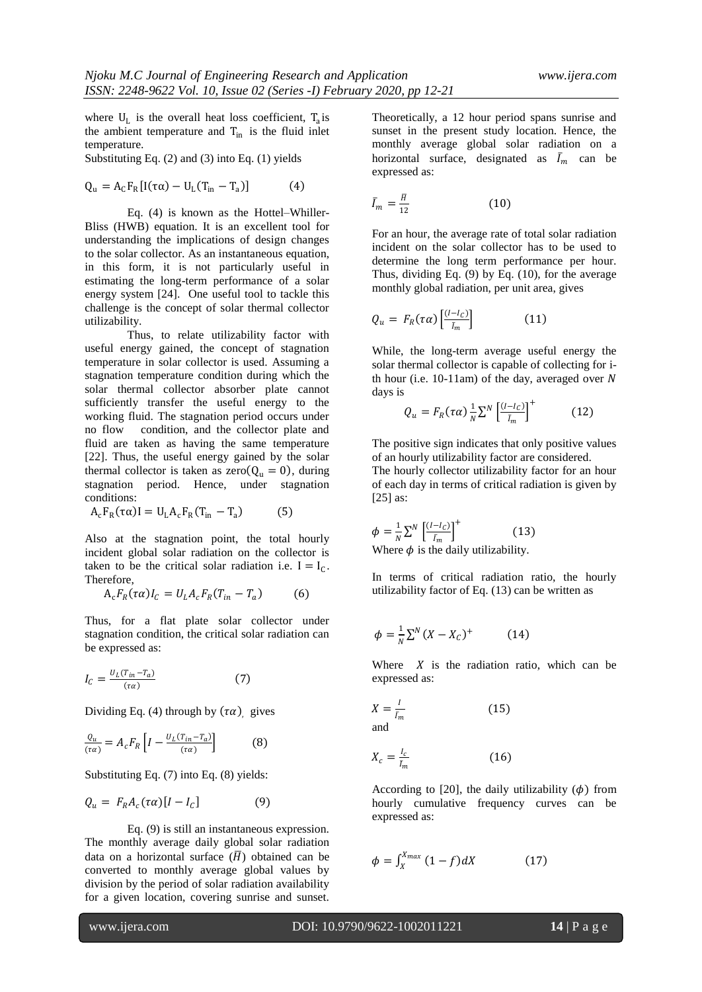where  $U_L$  is the overall heat loss coefficient,  $T_a$  is the ambient temperature and  $T_{in}$  is the fluid inlet temperature.

Substituting Eq. (2) and (3) into Eq. (1) yields

$$
Q_{\mathrm{u}} = A_{\mathrm{C}} F_{\mathrm{R}} [I(\tau \alpha) - U_{\mathrm{L}} (T_{\mathrm{in}} - T_{\mathrm{a}})] \tag{4}
$$

Eq. (4) is known as the Hottel–Whiller-Bliss (HWB) equation. It is an excellent tool for understanding the implications of design changes to the solar collector. As an instantaneous equation, in this form, it is not particularly useful in estimating the long-term performance of a solar energy system [24]. One useful tool to tackle this challenge is the concept of solar thermal collector utilizability.

Thus, to relate utilizability factor with useful energy gained, the concept of stagnation temperature in solar collector is used. Assuming a stagnation temperature condition during which the solar thermal collector absorber plate cannot sufficiently transfer the useful energy to the working fluid. The stagnation period occurs under no flow condition, and the collector plate and fluid are taken as having the same temperature [22]. Thus, the useful energy gained by the solar thermal collector is taken as  $zero(Q<sub>u</sub> = 0)$ , during stagnation period. Hence, under stagnation conditions:

 $A_c F_R(\tau \alpha) I = U_L A_c F_R(T_{in} - T_a)$ (5)

Also at the stagnation point, the total hourly incident global solar radiation on the collector is taken to be the critical solar radiation i.e.  $I = I_C$ . Therefore,

$$
A_c F_R(\tau \alpha) I_C = U_L A_c F_R(T_{in} - T_a) \tag{6}
$$

Thus, for a flat plate solar collector under stagnation condition, the critical solar radiation can be expressed as:

$$
I_C = \frac{U_L (T_{in} - T_a)}{(\tau \alpha)}\tag{7}
$$

Dividing Eq. (4) through by  $(\tau \alpha)$ , gives

$$
\frac{Q_u}{(\tau \alpha)} = A_c F_R \left[ I - \frac{U_L (T_{in} - T_a)}{(\tau \alpha)} \right] \tag{8}
$$

Substituting Eq. (7) into Eq. (8) yields:

$$
Q_u = F_R A_c(\tau \alpha) [I - I_c] \tag{9}
$$

Eq. (9) is still an instantaneous expression. The monthly average daily global solar radiation data on a horizontal surface  $(\overline{H})$  obtained can be converted to monthly average global values by division by the period of solar radiation availability for a given location, covering sunrise and sunset. Theoretically, a 12 hour period spans sunrise and sunset in the present study location. Hence, the monthly average global solar radiation on a horizontal surface, designated as  $\bar{I}_m$  can be expressed as:

$$
\bar{I}_m = \frac{H}{12} \tag{10}
$$

For an hour, the average rate of total solar radiation incident on the solar collector has to be used to determine the long term performance per hour. Thus, dividing Eq. (9) by Eq. (10), for the average monthly global radiation, per unit area, gives

$$
Q_u = F_R(\tau \alpha) \left[ \frac{(I - I_C)}{I_m} \right] \tag{11}
$$

While, the long-term average useful energy the solar thermal collector is capable of collecting for ith hour (i.e.  $10-11$ am) of the day, averaged over N days is

$$
Q_u = F_R(\tau \alpha) \frac{1}{N} \sum^N \left[ \frac{(l - l_C)}{\bar{l}_m} \right]^+ \tag{12}
$$

The positive sign indicates that only positive values of an hourly utilizability factor are considered. The hourly collector utilizability factor for an hour of each day in terms of critical radiation is given by  $[25]$  as:

$$
\phi = \frac{1}{N} \sum^{N} \left[ \frac{(I - I_C)}{I_m} \right]^{+}
$$
\nWhere  $\phi$  is the daily utilizability.

In terms of critical radiation ratio, the hourly utilizability factor of Eq. (13) can be written as

$$
\phi = \frac{1}{N} \sum^{N} (X - X_C)^{+} \tag{14}
$$

Where  $X$  is the radiation ratio, which can be expressed as:

$$
X = \frac{I}{I_m} \tag{15}
$$

and

$$
X_c = \frac{I_c}{\bar{I}_m} \tag{16}
$$

According to [20], the daily utilizability  $(\phi)$  from hourly cumulative frequency curves can be expressed as:

$$
\phi = \int_{X}^{X_{max}} (1 - f) dX \tag{17}
$$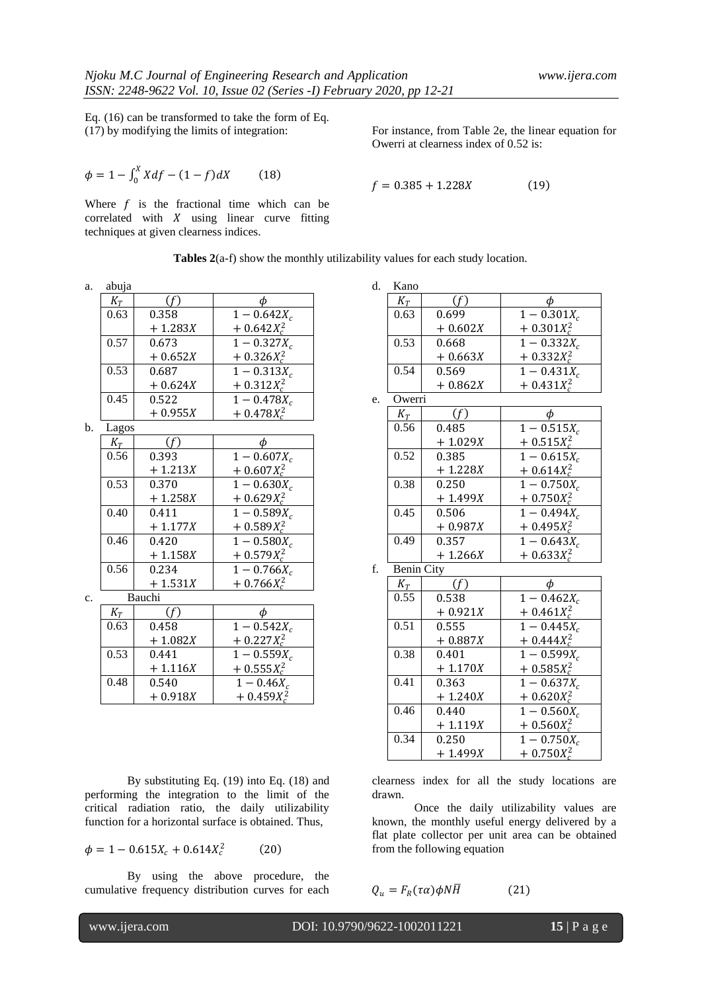Eq. (16) can be transformed to take the form of Eq. (17) by modifying the limits of integration:

$$
\phi = 1 - \int_0^X X df - (1 - f) dX \tag{18}
$$

Where  $f$  is the fractional time which can be correlated with  $X$  using linear curve fitting techniques at given clearness indices.

For instance, from Table 2e, the linear equation for Owerri at clearness index of 0.52 is:

$$
f = 0.385 + 1.228X \tag{19}
$$

|  | <b>Tables 2</b> $(a-f)$ show the monthly utilizability values for each study location. |  |  |  |
|--|----------------------------------------------------------------------------------------|--|--|--|
|--|----------------------------------------------------------------------------------------|--|--|--|

a. abuja

| abuja |           |                 |
|-------|-----------|-----------------|
| $K_T$ |           |                 |
| 0.63  | 0.358     | $1 - 0.642X_c$  |
|       | $+1.283X$ | $+ 0.642X_c^2$  |
| 0.57  | 0.673     | $1 - 0.327X_c$  |
|       | $+0.652X$ | $+ 0.326 X_c^2$ |
| 0.53  | 0.687     | $1 - 0.313X_c$  |
|       | $+0.624X$ | $+ 0.312 X_c^2$ |
| 0.45  | 0.522     | $1 - 0.478X_c$  |
|       | $+0.955X$ | $+ 0.478 X_c^2$ |

 $<sub>b</sub>$ .</sub>

| Lagos                      |           |                 |
|----------------------------|-----------|-----------------|
| $K_{\scriptscriptstyle T}$ |           |                 |
| 0.56                       | 0.393     | $1 - 0.607X_c$  |
|                            | $+1.213X$ | $+ 0.607 X_c^2$ |
| 0.53                       | 0.370     | $1 - 0.630X_c$  |
|                            | $+1.258X$ | $+ 0.629X_c^2$  |
| 0.40                       | 0.411     | $1 - 0.589X_c$  |
|                            | $+1.177X$ | $+ 0.589X_c^2$  |
| 0.46                       | 0.420     | $1 - 0.580X_c$  |
|                            | $+1.158X$ | $+ 0.579X_c^2$  |
| 0.56                       | 0.234     | $1 - 0.766X_c$  |
|                            | $+1.531X$ | $+ 0.766 X_c^2$ |

c. Bauchi

| $K_T$ |           | Ф                        |
|-------|-----------|--------------------------|
| 0.63  | 0.458     | $1 - 0.542X_c$           |
|       | $+1.082X$ | $+ 0.227X_c^2$           |
| 0.53  | 0.441     | $1 - 0.559X_c$           |
|       | $+1.116X$ | $+ 0.555 X_c^2$          |
| 0.48  | 0.540     | $1 - 0.46X_c$            |
|       | $+0.918X$ | $+ 0.459X_c^{\tilde{2}}$ |

By substituting Eq. (19) into Eq. (18) and performing the integration to the limit of the critical radiation ratio, the daily utilizability function for a horizontal surface is obtained. Thus,

$$
\phi = 1 - 0.615X_c + 0.614X_c^2 \tag{20}
$$

By using the above procedure, the cumulative frequency distribution curves for each

| d. | Kano               |            |                                       |
|----|--------------------|------------|---------------------------------------|
|    | $K_T$              | (f)        | $\phi$                                |
|    | $\overline{0}$ .63 | 0.699      | $1 - 0.301X_c$                        |
|    |                    | $+0.602X$  | $+ 0.301 X_c^2$                       |
|    | 0.53               | 0.668      | $\frac{1-0.332X_c}{1}$                |
|    |                    | $+0.663X$  | $+ 0.332X_c^2$                        |
|    | 0.54               | 0.569      | $1 - 0.431X_c$                        |
|    |                    | $+0.862X$  | $+ 0.431 X_c^2$                       |
| e. | Owerri             |            |                                       |
|    | $K_T$              | (f)        | $\phi$                                |
|    | 0.56               | 0.485      | $\frac{1-0.515X_c}{1}$                |
|    |                    | $+1.029X$  | $+ 0.515 X_c^2$                       |
|    | 0.52               | 0.385      | $1 - 0.615X_c$                        |
|    |                    | $+ 1.228X$ | $+ 0.614 X_c^2$                       |
|    | 0.38               | 0.250      | $\overline{1-0.750X_c}$               |
|    |                    | $+ 1.499X$ | $+ 0.750 X_c^2$                       |
|    | 0.45<br>0.506      |            | $\frac{1 - 0.494X_c}{1 - 0.494X_c}$   |
|    |                    | $+0.987X$  | $+ 0.495 X_c^2$                       |
|    | 0.49               | 0.357      | $\overline{1-0.643X_c}$               |
|    |                    | $+1.266X$  | $+ 0.633X_c^2$                        |
| f. | <b>Benin City</b>  |            |                                       |
|    | $K_T$              | (f)        | φ                                     |
|    | 0.55               | 0.538      | $1 - 0.462X_c$                        |
|    |                    | $+0.921X$  | $+ 0.461 X_c^2$                       |
|    | 0.51               | 0.555      | $1 - 0.445X_c$                        |
|    |                    | $+0.887X$  | $\frac{+ 0.444 X_c^2}{1 - 0.599 X_c}$ |
|    | 0.38               | 0.401      |                                       |
|    |                    | $+1.170X$  | $+ 0.585 X_c^2$                       |
|    | 0.41               | 0.363      | $\frac{1 - 0.637X_c}{1}$              |
|    |                    | $+ 1.240X$ | $+ 0.620 X_c^2$                       |
|    | 0.46               | 0.440      | $\overline{1-0.560X_c}$               |
|    |                    | $+1.119X$  | $+ 0.560 X_c^2$                       |
|    | 0.34               | 0.250      | $1 - 0.750X_c$                        |
|    |                    | $+1.499X$  | $+ 0.750 X_c^2$                       |

clearness index for all the study locations are drawn.

Once the daily utilizability values are known, the monthly useful energy delivered by a flat plate collector per unit area can be obtained from the following equation

$$
Q_u = F_R(\tau \alpha) \phi N \overline{H} \tag{21}
$$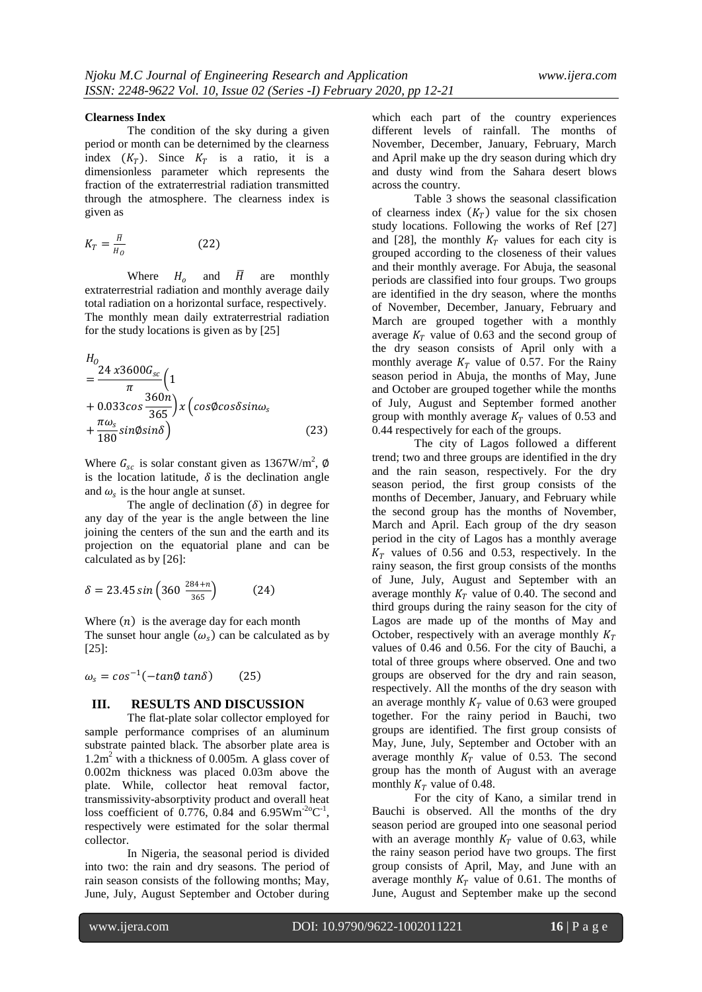#### **Clearness Index**

The condition of the sky during a given period or month can be deternimed by the clearness index  $(K_T)$ . Since  $K_T$  is a ratio, it is a dimensionless parameter which represents the fraction of the extraterrestrial radiation transmitted through the atmosphere. The clearness index is given as

$$
K_T = \frac{H}{H_0} \tag{22}
$$

Where  $H_0$  and  $\overline{H}$  are monthly extraterrestrial radiation and monthly average daily total radiation on a horizontal surface, respectively. The monthly mean daily extraterrestrial radiation for the study locations is given as by [25]

$$
H_0 = \frac{24 \times 3600 G_{sc}}{\pi} \left( 1 + 0.033 \cos \frac{360n}{365} \right) \times \left( \cos \phi \cos \delta \sin \omega_s \right) + \frac{\pi \omega_s}{180} \sin \phi \sin \delta \}
$$
(23)

Where  $G_{sc}$  is solar constant given as 1367W/m<sup>2</sup>, Ø is the location latitude,  $\delta$  is the declination angle and  $\omega_s$  is the hour angle at sunset.

The angle of declination  $(\delta)$  in degree for any day of the year is the angle between the line joining the centers of the sun and the earth and its projection on the equatorial plane and can be calculated as by [26]:

$$
\delta = 23.45 \sin \left( 360 \frac{284 + n}{365} \right) \tag{24}
$$

Where  $(n)$  is the average day for each month The sunset hour angle  $(\omega_s)$  can be calculated as by [25]:

$$
\omega_s = \cos^{-1}(-\tan\phi\tan\delta) \qquad (25)
$$

### **III. RESULTS AND DISCUSSION**

The flat-plate solar collector employed for sample performance comprises of an aluminum substrate painted black. The absorber plate area is 1.2m <sup>2</sup> with a thickness of 0.005m. A glass cover of 0.002m thickness was placed 0.03m above the plate. While, collector heat removal factor, transmissivity-absorptivity product and overall heat loss coefficient of  $0.776$ , 0.84 and 6.95Wm<sup>-2o</sup>C<sup>-1</sup>, respectively were estimated for the solar thermal collector.

In Nigeria, the seasonal period is divided into two: the rain and dry seasons. The period of rain season consists of the following months; May, June, July, August September and October during which each part of the country experiences different levels of rainfall. The months of November, December, January, February, March and April make up the dry season during which dry and dusty wind from the Sahara desert blows across the country.

Table 3 shows the seasonal classification of clearness index  $(K_T)$  value for the six chosen study locations. Following the works of Ref [27] and [28], the monthly  $K_T$  values for each city is grouped according to the closeness of their values and their monthly average. For Abuja, the seasonal periods are classified into four groups. Two groups are identified in the dry season, where the months of November, December, January, February and March are grouped together with a monthly average  $K_T$  value of 0.63 and the second group of the dry season consists of April only with a monthly average  $K_T$  value of 0.57. For the Rainy season period in Abuja, the months of May, June and October are grouped together while the months of July, August and September formed another group with monthly average  $K_T$  values of 0.53 and 0.44 respectively for each of the groups.

The city of Lagos followed a different trend; two and three groups are identified in the dry and the rain season, respectively. For the dry season period, the first group consists of the months of December, January, and February while the second group has the months of November, March and April. Each group of the dry season period in the city of Lagos has a monthly average  $K_T$  values of 0.56 and 0.53, respectively. In the rainy season, the first group consists of the months of June, July, August and September with an average monthly  $K_T$  value of 0.40. The second and third groups during the rainy season for the city of Lagos are made up of the months of May and October, respectively with an average monthly  $K_T$ values of 0.46 and 0.56. For the city of Bauchi, a total of three groups where observed. One and two groups are observed for the dry and rain season, respectively. All the months of the dry season with an average monthly  $K_T$  value of 0.63 were grouped together. For the rainy period in Bauchi, two groups are identified. The first group consists of May, June, July, September and October with an average monthly  $K_T$  value of 0.53. The second group has the month of August with an average monthly  $K_T$  value of 0.48.

For the city of Kano, a similar trend in Bauchi is observed. All the months of the dry season period are grouped into one seasonal period with an average monthly  $K_T$  value of 0.63, while the rainy season period have two groups. The first group consists of April, May, and June with an average monthly  $K_T$  value of 0.61. The months of June, August and September make up the second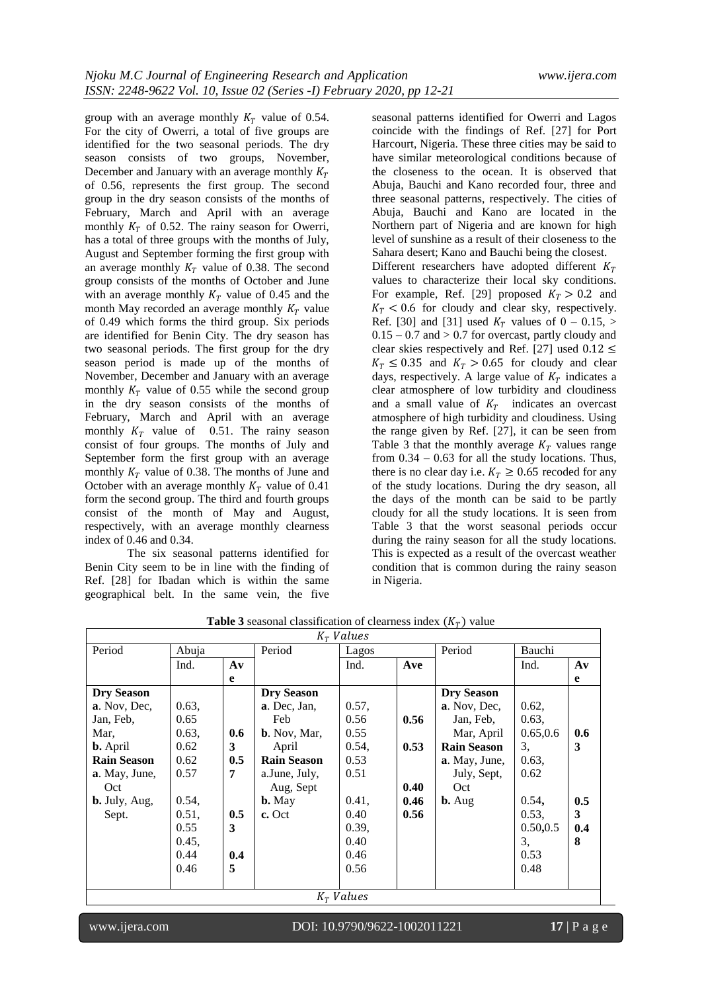group with an average monthly  $K_T$  value of 0.54. For the city of Owerri, a total of five groups are identified for the two seasonal periods. The dry season consists of two groups, November, December and January with an average monthly  $K_T$ of 0.56, represents the first group. The second group in the dry season consists of the months of February, March and April with an average monthly  $K_T$  of 0.52. The rainy season for Owerri, has a total of three groups with the months of July, August and September forming the first group with an average monthly  $K_T$  value of 0.38. The second group consists of the months of October and June with an average monthly  $K_T$  value of 0.45 and the month May recorded an average monthly  $K_T$  value of 0.49 which forms the third group. Six periods are identified for Benin City. The dry season has two seasonal periods. The first group for the dry season period is made up of the months of November, December and January with an average monthly  $K_T$  value of 0.55 while the second group in the dry season consists of the months of February, March and April with an average monthly  $K_T$  value of 0.51. The rainy season consist of four groups. The months of July and September form the first group with an average monthly  $K_T$  value of 0.38. The months of June and October with an average monthly  $K_T$  value of 0.41 form the second group. The third and fourth groups consist of the month of May and August, respectively, with an average monthly clearness index of 0.46 and 0.34.

The six seasonal patterns identified for Benin City seem to be in line with the finding of Ref. [28] for Ibadan which is within the same geographical belt. In the same vein, the five

seasonal patterns identified for Owerri and Lagos coincide with the findings of Ref. [27] for Port Harcourt, Nigeria. These three cities may be said to have similar meteorological conditions because of the closeness to the ocean. It is observed that Abuja, Bauchi and Kano recorded four, three and three seasonal patterns, respectively. The cities of Abuja, Bauchi and Kano are located in the Northern part of Nigeria and are known for high level of sunshine as a result of their closeness to the Sahara desert; Kano and Bauchi being the closest. Different researchers have adopted different  $K_T$ values to characterize their local sky conditions. For example, Ref. [29] proposed  $K_T > 0.2$  and  $K_T$  < 0.6 for cloudy and clear sky, respectively. Ref. [30] and [31] used  $K_T$  values of 0 – 0.15, >  $0.15 - 0.7$  and  $> 0.7$  for overcast, partly cloudy and clear skies respectively and Ref. [27] used  $0.12 \le$  $K_T \leq 0.35$  and  $K_T > 0.65$  for cloudy and clear days, respectively. A large value of  $K_T$  indicates a clear atmosphere of low turbidity and cloudiness and a small value of  $K_T$  indicates an overcast atmosphere of high turbidity and cloudiness. Using the range given by Ref. [27], it can be seen from Table 3 that the monthly average  $K_T$  values range from  $0.34 - 0.63$  for all the study locations. Thus, there is no clear day i.e.  $K_T \geq 0.65$  recoded for any of the study locations. During the dry season, all the days of the month can be said to be partly cloudy for all the study locations. It is seen from Table 3 that the worst seasonal periods occur during the rainy season for all the study locations. This is expected as a result of the overcast weather condition that is common during the rainy season in Nigeria.

| $K_T$ Values       |       |               |                      |              |      |                    |           |               |
|--------------------|-------|---------------|----------------------|--------------|------|--------------------|-----------|---------------|
| Period             | Abuja |               | Period               | Lagos        |      | Period             | Bauchi    |               |
|                    | Ind.  | $A\mathbf{v}$ |                      | Ind.         | Ave  |                    | Ind.      | $A\mathbf{v}$ |
|                    |       | e             |                      |              |      |                    |           | e             |
| <b>Dry Season</b>  |       |               | <b>Dry Season</b>    |              |      | <b>Dry Season</b>  |           |               |
| a. Nov. Dec.       | 0.63, |               | a. Dec. Jan.         | 0.57,        |      | a. Nov, Dec,       | 0.62,     |               |
| Jan, Feb,          | 0.65  |               | Feb                  | 0.56         | 0.56 | Jan, Feb,          | 0.63,     |               |
| Mar,               | 0.63, | 0.6           | <b>b</b> . Nov, Mar, | 0.55         |      | Mar, April         | 0.65, 0.6 | 0.6           |
| <b>b.</b> April    | 0.62  | 3             | April                | 0.54,        | 0.53 | <b>Rain Season</b> | 3,        | 3             |
| <b>Rain Season</b> | 0.62  | 0.5           | <b>Rain Season</b>   | 0.53         |      | a. May, June,      | 0.63,     |               |
| a. May, June,      | 0.57  | 7             | a.June, July,        | 0.51         |      | July, Sept,        | 0.62      |               |
| Oct                |       |               | Aug, Sept            |              | 0.40 | Oct                |           |               |
| $b. July, Aug,$    | 0.54, |               | <b>b.</b> May        | 0.41,        | 0.46 | $b. Aug$           | 0.54,     | 0.5           |
| Sept.              | 0.51, | 0.5           | c. Oct               | 0.40         | 0.56 |                    | 0.53,     | 3             |
|                    | 0.55  | 3             |                      | 0.39,        |      |                    | 0.50, 0.5 | 0.4           |
|                    | 0.45, |               |                      | 0.40         |      |                    | 3,        | 8             |
|                    | 0.44  | 0.4           |                      | 0.46         |      |                    | 0.53      |               |
|                    | 0.46  | 5             |                      | 0.56         |      |                    | 0.48      |               |
|                    |       |               |                      |              |      |                    |           |               |
|                    |       |               |                      | $K_T$ Values |      |                    |           |               |
|                    |       |               |                      |              |      |                    |           |               |

**Table 3** seasonal classification of clearness index  $(K_T)$  value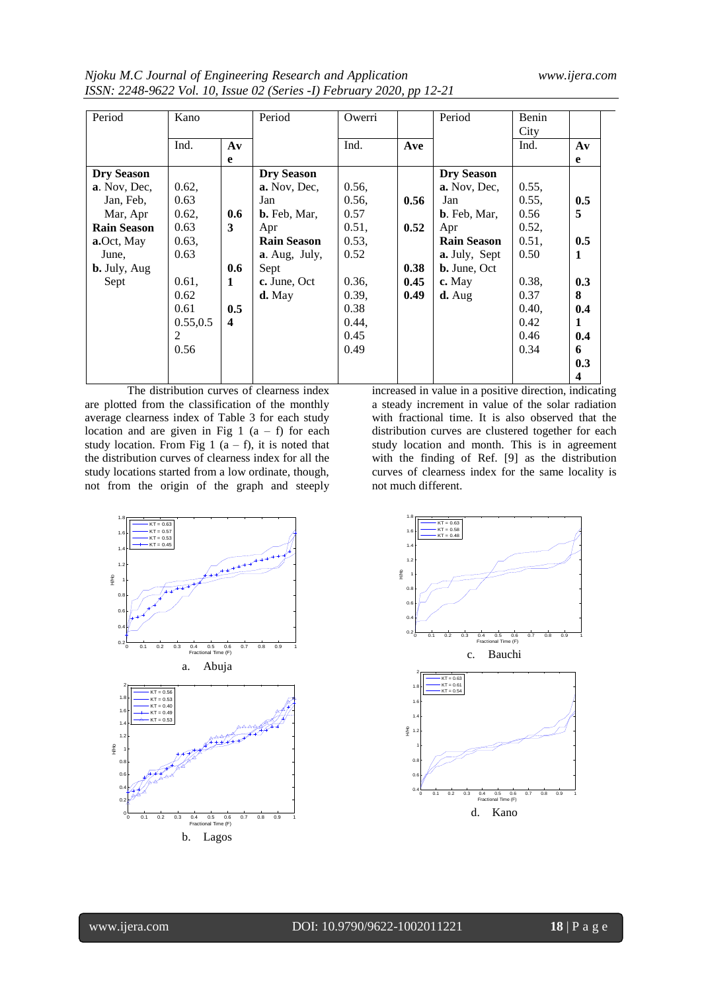*Njoku M.C Journal of Engineering Research and Application www.ijera.com ISSN: 2248-9622 Vol. 10, Issue 02 (Series -I) February 2020, pp 12-21*

| Period              | Kano      |               | Period              | Owerri |      | Period               | Benin |                         |
|---------------------|-----------|---------------|---------------------|--------|------|----------------------|-------|-------------------------|
|                     |           |               |                     |        |      |                      | City  |                         |
|                     | Ind.      | $A\mathbf{v}$ |                     | Ind.   | Ave  |                      | Ind.  | $A\mathbf{v}$           |
|                     |           | e             |                     |        |      |                      |       | e                       |
| <b>Dry Season</b>   |           |               | <b>Dry Season</b>   |        |      | <b>Dry Season</b>    |       |                         |
| a. Nov, Dec,        | 0.62,     |               | a. Nov, Dec,        | 0.56,  |      | a. Nov. Dec.         | 0.55, |                         |
| Jan, Feb.           | 0.63      |               | Jan                 | 0.56,  | 0.56 | Jan                  | 0.55, | 0.5                     |
| Mar, Apr            | 0.62,     | 0.6           | <b>b.</b> Feb, Mar, | 0.57   |      | <b>b</b> . Feb, Mar, | 0.56  | 5                       |
| <b>Rain Season</b>  | 0.63      | 3             | Apr                 | 0.51,  | 0.52 | Apr                  | 0.52, |                         |
| a.Oct, May          | 0.63,     |               | <b>Rain Season</b>  | 0.53,  |      | <b>Rain Season</b>   | 0.51, | 0.5                     |
| June,               | 0.63      |               | a. Aug, July,       | 0.52   |      | <b>a.</b> July, Sept | 0.50  | 1                       |
| <b>b.</b> July, Aug |           | 0.6           | Sept                |        | 0.38 | <b>b.</b> June, Oct  |       |                         |
| Sept                | $0.61$ ,  | 1             | c. June, Oct        | 0.36,  | 0.45 | c. May               | 0.38, | 0.3                     |
|                     | 0.62      |               | $d.$ May            | 0.39,  | 0.49 | $\mathbf{d}$ . Aug   | 0.37  | 8                       |
|                     | 0.61      | 0.5           |                     | 0.38   |      |                      | 0.40, | 0.4                     |
|                     | 0.55, 0.5 | 4             |                     | 0.44,  |      |                      | 0.42  | $\mathbf{1}$            |
|                     | 2         |               |                     | 0.45   |      |                      | 0.46  | 0.4                     |
|                     | 0.56      |               |                     | 0.49   |      |                      | 0.34  | 6                       |
|                     |           |               |                     |        |      |                      |       | 0.3                     |
|                     |           |               |                     |        |      |                      |       | $\overline{\mathbf{4}}$ |

The distribution curves of clearness index are plotted from the classification of the monthly average clearness index of Table 3 for each study location and are given in Fig 1  $(a - f)$  for each study location. From Fig 1  $(a - f)$ , it is noted that the distribution curves of clearness index for all the study locations started from a low ordinate, though, not from the origin of the graph and steeply increased in value in a positive direction, indicating a steady increment in value of the solar radiation with fractional time. It is also observed that the distribution curves are clustered together for each study location and month. This is in agreement with the finding of Ref. [9] as the distribution curves of clearness index for the same locality is not much different.



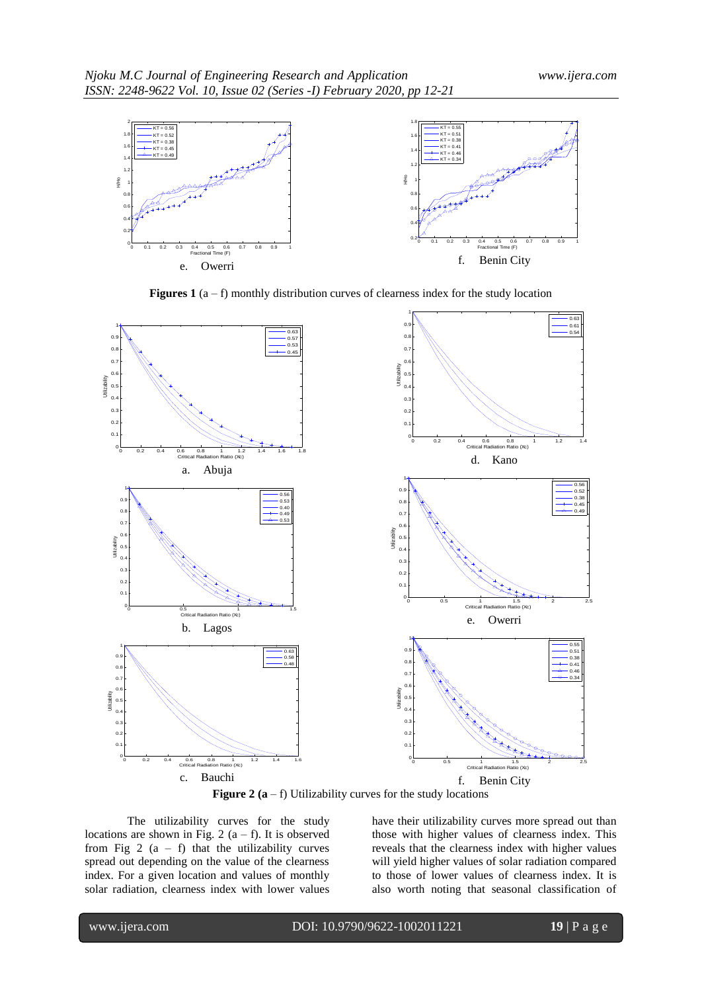

**Figures 1** ( $a - f$ ) monthly distribution curves of clearness index for the study location



**Figure 2**  $(a - f)$  Utilizability curves for the study locations

The utilizability curves for the study locations are shown in Fig. 2  $(a - f)$ . It is observed from Fig 2  $(a - f)$  that the utilizability curves spread out depending on the value of the clearness index. For a given location and values of monthly solar radiation, clearness index with lower values

have their utilizability curves more spread out than those with higher values of clearness index. This reveals that the clearness index with higher values will yield higher values of solar radiation compared to those of lower values of clearness index. It is also worth noting that seasonal classification of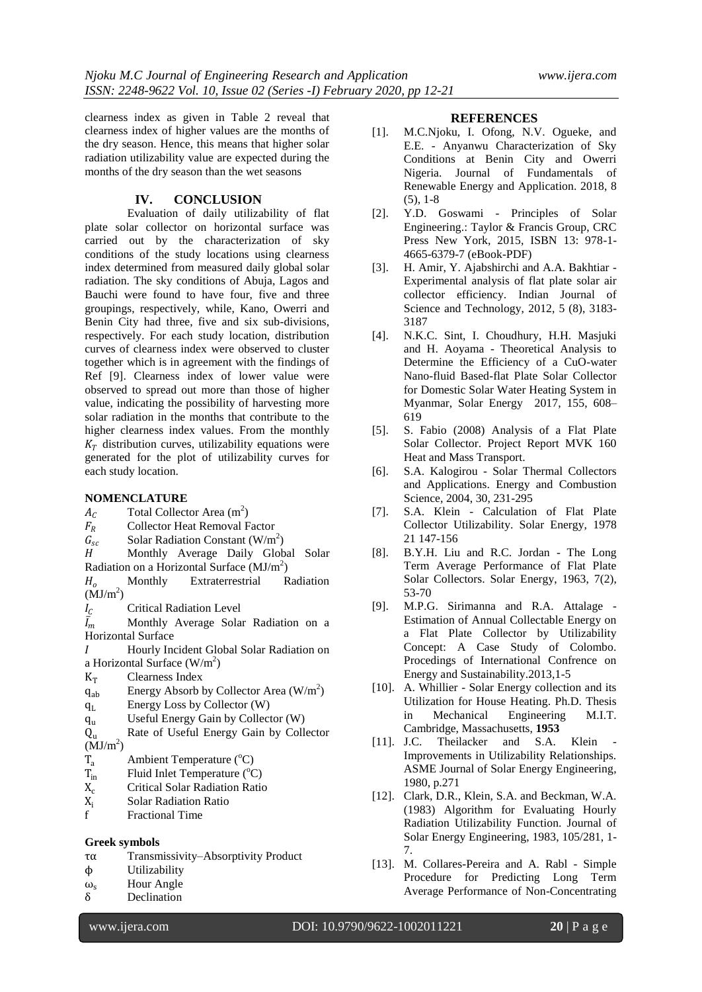clearness index as given in Table 2 reveal that clearness index of higher values are the months of the dry season. Hence, this means that higher solar radiation utilizability value are expected during the months of the dry season than the wet seasons

# **IV. CONCLUSION**

Evaluation of daily utilizability of flat plate solar collector on horizontal surface was carried out by the characterization of sky conditions of the study locations using clearness index determined from measured daily global solar radiation. The sky conditions of Abuja, Lagos and Bauchi were found to have four, five and three groupings, respectively, while, Kano, Owerri and Benin City had three, five and six sub-divisions, respectively. For each study location, distribution curves of clearness index were observed to cluster together which is in agreement with the findings of Ref [9]. Clearness index of lower value were observed to spread out more than those of higher value, indicating the possibility of harvesting more solar radiation in the months that contribute to the higher clearness index values. From the monthly  $K_T$  distribution curves, utilizability equations were generated for the plot of utilizability curves for each study location.

### **NOMENCLATURE**

- $A_C$  Total Collector Area (m<sup>2</sup>)
- $F_R$  Collector Heat Removal Factor
- $G_{sc}$  Solar Radiation Constant (W/m<sup>2</sup>)
- H Monthly Average Daily Global Solar Radiation on a Horizontal Surface  $(MJ/m<sup>2</sup>)$
- $H_0$  Monthly Extraterrestrial Radiation  $(MJ/m<sup>2</sup>)$
- $I_c$  Critical Radiation Level

 $\bar{I}_m$  Monthly Average Solar Radiation on a Horizontal Surface

- Hourly Incident Global Solar Radiation on a Horizontal Surface  $(W/m^2)$
- $K_T$  Clearness Index
- $q_{ab}$  Energy Absorb by Collector Area (W/m<sup>2</sup>)
- q<sup>L</sup> Energy Loss by Collector (W)
- q<sup>u</sup> Useful Energy Gain by Collector (W)
- Q<sup>u</sup> Rate of Useful Energy Gain by Collector  $(MJ/m<sup>2</sup>)$
- 
- $T_a$  Ambient Temperature (°C)<br>  $T_{in}$  Fluid Inlet Temperature (°C)
- $T_{\text{in}}$  Fluid Inlet Temperature (°C)<br>X<sub>c</sub> Critical Solar Radiation Ratio  $X_c$  Critical Solar Radiation Ratio<br> $X_i$  Solar Radiation Ratio
- $X_i$  Solar Radiation Ratio<br>f Fractional Time
- **Fractional Time**

#### **Greek symbols**

- τα Transmissivity–Absorptivity Product
- ϕ Utilizability
- 
- $\omega_s$  Hour Angle<br>  $\delta$  Declination Declination

# **REFERENCES**

- [1]. M.C.Njoku, I. Ofong, N.V. Ogueke, and E.E. - Anyanwu Characterization of Sky Conditions at Benin City and Owerri Nigeria. Journal of Fundamentals of Renewable Energy and Application. 2018, 8 (5), 1-8
- [2]. Y.D. Goswami Principles of Solar Engineering.: Taylor & Francis Group, CRC Press New York, 2015, ISBN 13: 978-1- 4665-6379-7 (eBook-PDF)
- [3]. H. Amir, Y. Ajabshirchi and A.A. Bakhtiar Experimental analysis of flat plate solar air collector efficiency. Indian Journal of Science and Technology, 2012, 5 (8), 3183- 3187
- [4]. N.K.C. Sint, I. Choudhury, H.H. Masjuki and H. Aoyama - Theoretical Analysis to Determine the Efficiency of a CuO-water Nano-fluid Based-flat Plate Solar Collector for Domestic Solar Water Heating System in Myanmar, Solar Energy 2017, 155, 608– 619
- [5]. S. Fabio (2008) Analysis of a Flat Plate Solar Collector. Project Report MVK 160 Heat and Mass Transport.
- [6]. S.A. Kalogirou Solar Thermal Collectors and Applications. Energy and Combustion Science, 2004, 30, 231-295
- [7]. S.A. Klein Calculation of Flat Plate Collector Utilizability. Solar Energy, 1978 21 147-156
- [8]. B.Y.H. Liu and R.C. Jordan The Long Term Average Performance of Flat Plate Solar Collectors. Solar Energy, 1963, 7(2), 53-70
- [9]. M.P.G. Sirimanna and R.A. Attalage Estimation of Annual Collectable Energy on a Flat Plate Collector by Utilizability Concept: A Case Study of Colombo. Procedings of International Confrence on Energy and Sustainability.2013,1-5
- [10]. A. Whillier Solar Energy collection and its Utilization for House Heating. Ph.D. Thesis in Mechanical Engineering M.I.T. Cambridge, Massachusetts, **1953**
- [11]. J.C. Theilacker and S.A. Klein Improvements in Utilizability Relationships. ASME Journal of Solar Energy Engineering, 1980, p.271
- [12]. Clark, D.R., Klein, S.A. and Beckman, W.A. (1983) Algorithm for Evaluating Hourly Radiation Utilizability Function. Journal of Solar Energy Engineering, 1983, 105/281, 1- 7.
- [13]. M. Collares-Pereira and A. Rabl Simple Procedure for Predicting Long Term Average Performance of Non-Concentrating